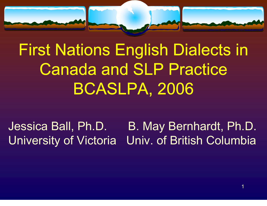

# First Nations English Dialects in Canada and SLP Practice BCASLPA, 2006

Jessica Ball, Ph.D. B. May Bernhardt, Ph.D. University of Victoria Univ. of British Columbia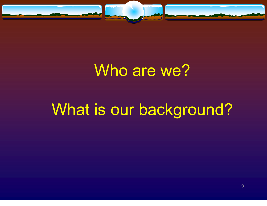

## Who are we?

# What is our background?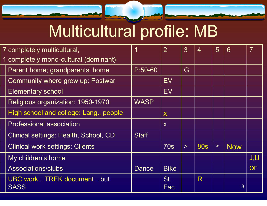# Multicultural profile: MB

| 7 completely multicultural,                    | 1            | $\overline{2}$   | 3      | $\overline{4}$ | 5      | 6          | 7         |
|------------------------------------------------|--------------|------------------|--------|----------------|--------|------------|-----------|
| 1 completely mono-cultural (dominant)          |              |                  |        |                |        |            |           |
| Parent home; grandparents' home                | $P:50-60$    |                  | G      |                |        |            |           |
| Community where grew up: Postwar               |              | EV               |        |                |        |            |           |
| <b>Elementary school</b>                       |              | EV               |        |                |        |            |           |
| Religious organization: 1950-1970              | <b>WASP</b>  |                  |        |                |        |            |           |
| High school and college: Lang., people         |              | X                |        |                |        |            |           |
| <b>Professional association</b>                |              | $\boldsymbol{X}$ |        |                |        |            |           |
| Clinical settings: Health, School, CD          | <b>Staff</b> |                  |        |                |        |            |           |
| <b>Clinical work settings: Clients</b>         |              | 70s              | $\geq$ | <b>80s</b>     | $\geq$ | <b>Now</b> |           |
| My children's home                             |              |                  |        |                |        |            | J,U       |
| Associations/clubs                             | Dance        | <b>Bike</b>      |        |                |        |            | <b>OF</b> |
| <b>UBC workTREK documentbut</b><br><b>SASS</b> |              | St,<br>Fac       |        | R              |        | 3          |           |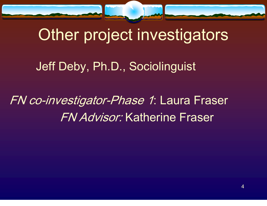

## Other project investigators

Jeff Deby, Ph.D., Sociolinguist

FN co-investigator-Phase 1: Laura Fraser FN Advisor: Katherine Fraser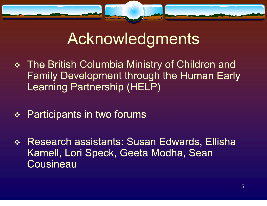

### Acknowledgments

- The British Columbia Ministry of Children and Family Development through the Human Early Learning Partnership (HELP)
- **❖ Participants in two forums**
- Research assistants: Susan Edwards, Ellisha Kamell, Lori Speck, Geeta Modha, Sean **Cousineau**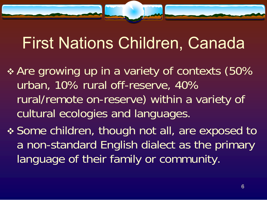## First Nations Children, Canada

- Are growing up in a variety of contexts (50% urban, 10% rural off-reserve, 40% rural/remote on-reserve) within a variety of cultural ecologies and languages.
- Some children, though not all, are exposed to a non-standard English dialect as the primary language of their family or community.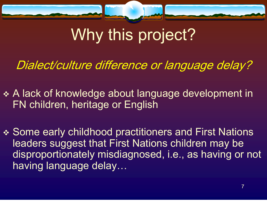

# Why this project?

Dialect/culture difference or language delay?

- A lack of knowledge about language development in FN children, heritage or English
- Some early childhood practitioners and First Nations leaders suggest that First Nations children may be disproportionately misdiagnosed, i.e., as having or not having language delay…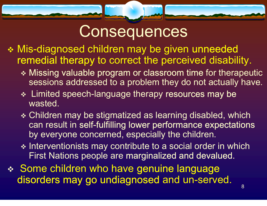### **Consequences**

- Mis-diagnosed children may be given unneeded remedial therapy to correct the perceived disability.
	- Missing valuable program or classroom time for therapeutic sessions addressed to a problem they do not actually have.
	- **Example 1** Limited speech-language therapy resources may be wasted.
	- Children may be stigmatized as learning disabled, which can result in self-fulfilling lower performance expectations by everyone concerned, especially the children.
	- \* Interventionists may contribute to a social order in which First Nations people are marginalized and devalued.
- 8 Benedictus III, mendebat eta esperantista eta esperantista eta esperantista eta esperantista eta esperanti Some children who have genuine language disorders may go undiagnosed and un-served.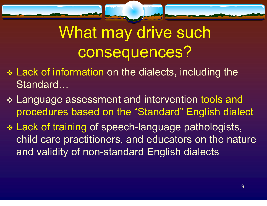

# What may drive such consequences?

- Lack of information on the dialects, including the Standard…
- Language assessment and intervention tools and procedures based on the "Standard" English dialect
- Lack of training of speech-language pathologists, child care practitioners, and educators on the nature and validity of non-standard English dialects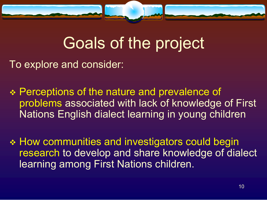

## Goals of the project

To explore and consider:

- ◆ Perceptions of the nature and prevalence of problems associated with lack of knowledge of First Nations English dialect learning in young children
- How communities and investigators could begin research to develop and share knowledge of dialect learning among First Nations children.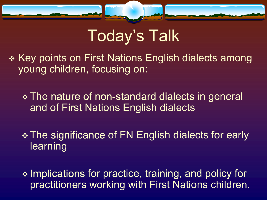

# Today's Talk

\* Key points on First Nations English dialects among young children, focusing on:

 The nature of non-standard dialects in general and of First Nations English dialects

\* The significance of FN English dialects for early learning

practitioners working with First Nations children.  $\cdot$  Implications for practice, training, and policy for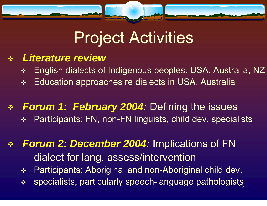

# Project Activities

#### $\frac{1}{2}$ *Literature review*

 $\frac{1}{2}$ English dialects of Indigenous peoples: USA, Australia, NZ

 $\frac{1}{2}$ Education approaches re dialects in USA, Australia

#### *Forum 1: February 2004:* Defining the issues  $\frac{1}{2}$ Participants: FN, non-FN linguists, child dev. specialists

#### $\frac{1}{2}$  *Forum 2: December 2004:* Implications of FN dialect for lang. assess/intervention

 $\begin{picture}(180,10) \put(0,0){\vector(1,0){10}} \put(10,0){\vector(1,0){10}} \put(10,0){\vector(1,0){10}} \put(10,0){\vector(1,0){10}} \put(10,0){\vector(1,0){10}} \put(10,0){\vector(1,0){10}} \put(10,0){\vector(1,0){10}} \put(10,0){\vector(1,0){10}} \put(10,0){\vector(1,0){10}} \put(10,0){\vector(1,0){10}} \put(10,0){\vector(1,0){10}} \put(10,0){\vector($ Participants: Aboriginal and non-Aboriginal child dev.

• specialists, particularly speech-language pathologists  $\frac{1}{2}$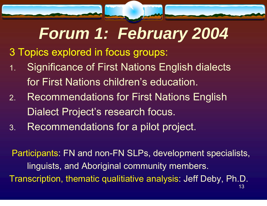# *Forum 1: February 2004*

- 3 Topics explored in focus groups:
- 1. Significance of First Nations English dialects for First Nations children's education.
- 2. Recommendations for First Nations English Dialect Project's research focus.
- 3.Recommendations for a pilot project.

13  $\sim$  13  $\sim$  13  $\sim$  13  $\sim$  13  $\sim$  13  $\sim$  13  $\sim$  13  $\sim$  Participants: FN and non-FN SLPs, development specialists, linguists, and Aboriginal community members. Transcription, thematic qualitiative analysis: Jeff Deby, Ph.D.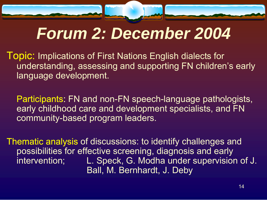# *Forum 2: December 2004*

Topic: Implications of First Nations English dialects for understanding, assessing and supporting FN children's early language development.

 Participants: FN and non-FN speech-language pathologists, early childhood care and development specialists, and FN community-based program leaders.

Thematic analysis of discussions: to identify challenges and possibilities for effective screening, diagnosis and early intervention; L. Speck, G. Modha under supervision of J. Ball, M. Bernhardt, J. Deby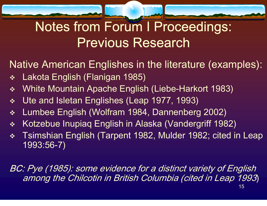### Notes from Forum I Proceedings: Previous Research

Native American Englishes in the literature (examples):

- $\Phi_{ab}^{\Psi_{ab}}$ Lakota English (Flanigan 1985)
- $\Phi_{\Delta}^{\Phi_{\Phi}}$ White Mountain Apache English (Liebe-Harkort 1983)
- $\frac{\partial}{\partial x}$ Ute and Isletan Englishes (Leap 1977, 1993)
- $\frac{\partial}{\partial x^2}$ Lumbee English (Wolfram 1984, Dannenberg 2002)
- $\frac{\partial}{\partial x^i}$ Kotzebue Inupiaq English in Alaska (Vandergriff 1982)
- $\frac{1}{2}$  Tsimshian English (Tarpent 1982, Mulder 1982; cited in Leap 1993:56-7)

BC: Pye (1985): some evidence for a distinct variety of English among the Chilcotin in British Columbia (cited in Leap 1993)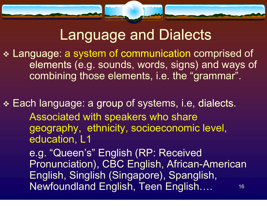

### Language and Dialects

 Language: a system of communication comprised of elements (e.g. sounds, words, signs) and ways of combining those elements, i.e. the "grammar".

 Each language: a group of systems, i.e, dialects. Associated with speakers who share geography, ethnicity, socioeconomic level, education, L1

 16 Newfoundland English, Teen English….e.g. "Queen's" English (RP: Received Pronunciation), CBC English, African-American English, Singlish (Singapore), Spanglish,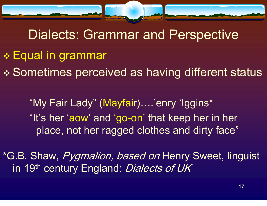

Dialects: Grammar and Perspective Equal in grammar Sometimes perceived as having different status

"My Fair Lady" (Mayfair)….'enry 'Iggins\* "It's her 'aow' and 'go-on' that keep her in her place, not her ragged clothes and dirty face"

\*G.B. Shaw, Pygmalion, based on Henry Sweet, linguist in 19<sup>th</sup> century England: Dialects of UK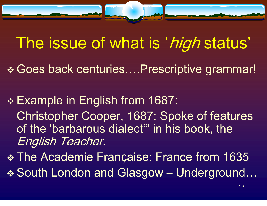

### The issue of what is 'high status'

- Goes back centuries….Prescriptive grammar!
- Example in English from 1687: Christopher Cooper, 1687: Spoke of features of the 'barbarous dialect'" in his book, the English Teacher.
- The Academie Fran çaise: France from 1635
- South London and Glasgow Underground…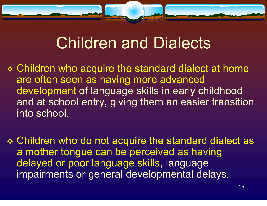

## Children and Dialects

 Children who acquire the standard dialect at home are often seen as having more advanced development of language skills in early childhood and at school entry, giving them an easier transition into school.

 Children who do not acquire the standard dialect as a mother tongue can be perceived as having delayed or poor language skills, language impairments or general developmental delays.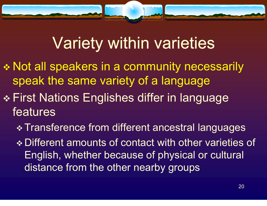

# Variety within varieties

- \* Not all speakers in a community necessarily speak the same variety of a language
- First Nations Englishes differ in language features
	- Transference from different ancestral languages
	- Different amounts of contact with other varieties of English, whether because of physical or cultural distance from the other nearby groups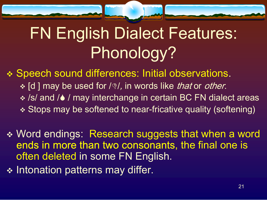# FN English Dialect Features: Phonology?

 Speech sound differences: Initial observations. ❖ [d ] may be used for /∖ /, in words like *that* or *other*. /s/ and / 6 / may interchange in certain BC FN dialect areas Stops may be softened to near-fricative quality (softening)

- Word endings: Research suggests that when a word ends in more than two consonants, the final one is often deleted in some FN English.
- $\div$  Intonation patterns may differ.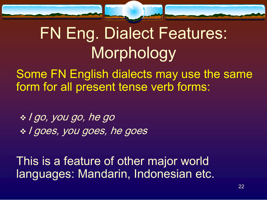



 Some FN English dialects may use the same form for all present tense verb forms:

 I go, you go, he go  $\ast$  I goes, you goes, he goes

 This is a feature of other major world languages: Mandarin, Indonesian etc.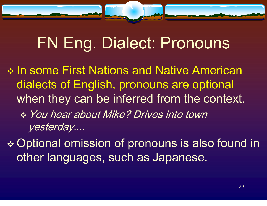# FN Eng. Dialect: Pronouns

\* In some First Nations and Native American dialects of English, pronouns are optional when they can be inferred from the context. You hear about Mike? Drives into town yesterday....

 Optional omission of pronouns is also found in other languages, such as Japanese.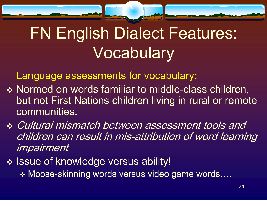

Language assessments for vocabulary:

- \* Normed on words familiar to middle-class children, but not First Nations children living in rural or remote communities.
- Cultural mismatch between assessment tools and children can result in mis-attribution of word learning impairment
- \* Issue of knowledge versus ability!
	- Moose-skinning words versus video game words….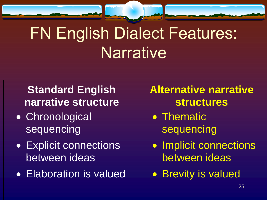# FN English Dialect Features: **Narrative**

### **Standard English narrative structure**

- Chronological sequencing
- Explicit connections between ideas
- Elaboration is valued Brevity is valued

### **Alternative narrative structures**

- Thematic sequencing
- Implicit connections between ideas
-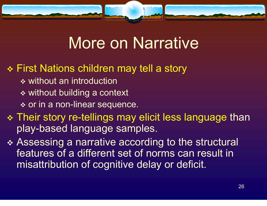

### More on Narrative

### First Nations children may tell a story

- **❖ without an introduction**
- \* without building a context
- **❖ or in a non-linear sequence.**
- Their story re-tellings may elicit less language than play-based language samples.
- Assessing a narrative according to the structural features of a different set of norms can result in misattribution of cognitive delay or deficit.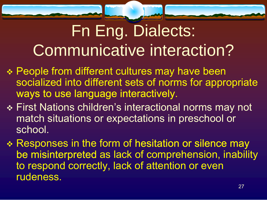# Fn Eng. Dialects: Communicative interaction?

- People from different cultures may have been socialized into different sets of norms for appropriate ways to use language interactively.
- First Nations children's interactional norms may not match situations or expectations in preschool or school.
- \* Responses in the form of hesitation or silence may be misinterpreted as lack of comprehension, inability to respond correctly, lack of attention or even rudeness.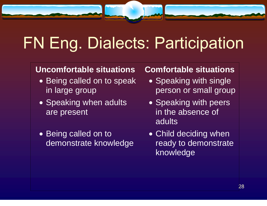# FN Eng. Dialects: Participation

#### **Uncomfortable situations**

- Being called on to speak in large group
- Speaking when adults are present
- Being called on to demonstrate knowledge

#### **Comfortable situations**

- Speaking with single person or small group
- Speaking with peers in the absence of **adults**
- Child deciding when ready to demonstrate knowledge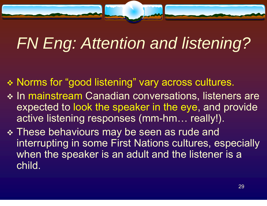# *FN Eng: Attention and listening?*

- Norms for "good listening" vary across cultures.
- \* In mainstream Canadian conversations, listeners are expected to look the speaker in the eye, and provide active listening responses (mm-hm… really!).
- These behaviours may be seen as rude and interrupting in some First Nations cultures, especially when the speaker is an adult and the listener is a child.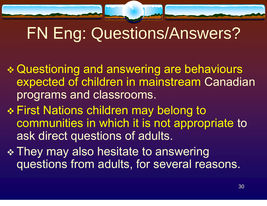# FN Eng: Questions/Answers?

- Questioning and answering are behaviours expected of children in mainstream Canadian programs and classrooms.
- First Nations children may belong to communities in which it is not appropriate to ask direct questions of adults.
- \* They may also hesitate to answering questions from adults, for several reasons.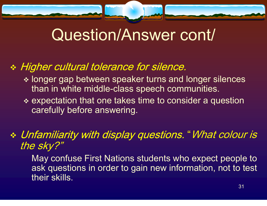

## Question/Answer cont/

### Higher cultural tolerance for silence.

- longer gap between speaker turns and longer silences than in white middle-class speech communities.
- ❖ expectation that one takes time to consider a question carefully before answering.

### Unfamiliarity with display questions. "What colour is the sky?"

 May confuse First Nations students who expect people to ask questions in order to gain new information, not to test their skills.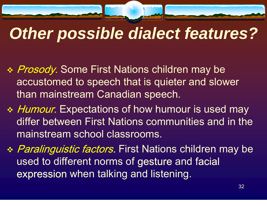# *Other possible dialect features?*

- \* Prosody. Some First Nations children may be accustomed to speech that is quieter and slower than mainstream Canadian speech.
- ❖ *Humour.* Expectations of how humour is used may differ between First Nations communities and in the mainstream school classrooms.
- *❖ Paralinguistic factors.* First Nations children may be used to different norms of gesture and facial expression when talking and listening.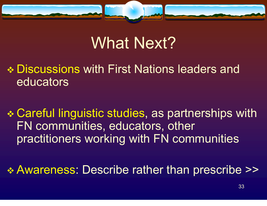

## What Next?

- Discussions with First Nations leaders and educators
- Careful linguistic studies, as partnerships with FN communities, educators, other practitioners working with FN communities
- Awareness: Describe rather than prescribe >>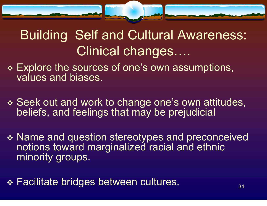

### Building Self and Cultural Awareness: Clinical changes….

- Explore the sources of one's own assumptions, values and biases.
- Seek out and work to change one's own attitudes, beliefs, and feelings that may be prejudicial
- \* Name and question stereotypes and preconceived notions toward marginalized racial and ethnic minority groups.
- $34$ Facilitate bridges between cultures.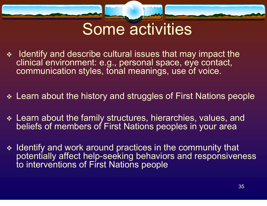

### Some activities

- $\cdot$  Identify and describe cultural issues that may impact the clinical environment: e.g., personal space, eye contact, communication styles, tonal meanings, use of voice.
- Learn about the history and struggles of First Nations people
- Learn about the family structures, hierarchies, values, and beliefs of members of First Nations peoples in your area
- $\triangleleft$  Identify and work around practices in the community that potentially affect help-seeking behaviors and responsiveness to interventions of First Nations people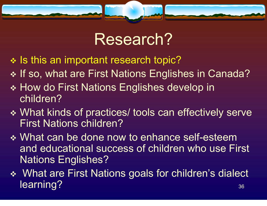

### Research?

- $\cdot$  Is this an important research topic?
- \* If so, what are First Nations Englishes in Canada?
- ❖ How do First Nations Englishes develop in children?
- What kinds of practices/ tools can effectively serve First Nations children?
- ◆ What can be done now to enhance self-esteem and educational success of children who use First Nations Englishes?
- $36$  What are First Nations goals for children's dialect learning?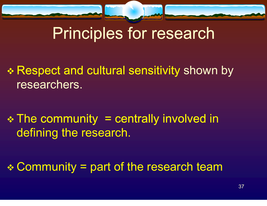

# Principles for research

\* Respect and cultural sensitivity shown by researchers.

 The community = centrally involved in defining the research.

Community = part of the research team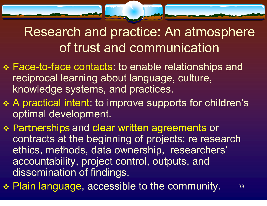### Research and practice: An atmosphere of trust and communication

- Face-to-face contacts: to enable relationships and reciprocal learning about language, culture, knowledge systems, and practices.
- A practical intent: to improve supports for children's optimal development.
- Partnerships and clear written agreements or contracts at the beginning of projects: re research ethics, methods, data ownership, researchers' accountability, project control, outputs, and dissemination of findings.
- ◆ Plain language, accessible to the community. 38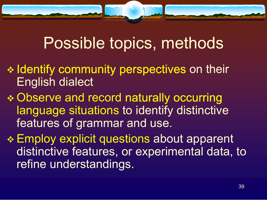## Possible topics, methods

- $\cdot\cdot$  Identify community perspectives on their English dialect
- Observe and record naturally occurring language situations to identify distinctive features of grammar and use.

 Employ explicit questions about apparent distinctive features, or experimental data, to refine understandings.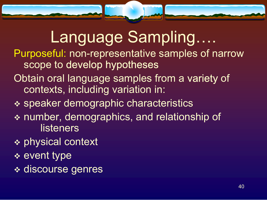# Language Sampling….

- Purposeful: non-representative samples of narrow scope to develop hypotheses
- Obtain oral language samples from a variety of contexts, including variation in:
- speaker demographic characteristics
- number, demographics, and relationship of listeners
- physical context
- event type
- discourse genres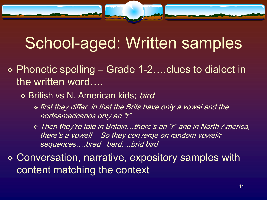## School-aged: Written samples

- Phonetic spelling Grade 1-2….clues to dialect in the written word….
	- ❖ British vs N. American kids; *bird* 
		- first they differ, in that the Brits have only a vowel and the norteamericanos only an "r"
		- Then they're told in Britain…there's an "r" and in North America, there's a vowel! So they converge on random vowel/r sequences….bred berd….brid bird
- Conversation, narrative, expository samples with content matching the context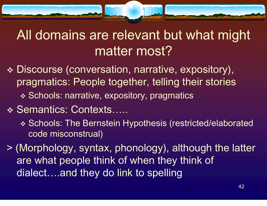### All domains are relevant but what might matter most?

- Discourse (conversation, narrative, expository), pragmatics: People together, telling their stories \* Schools: narrative, expository, pragmatics
- ❖ Semantics: Contexts…..
	- Schools: The Bernstein Hypothesis (restricted/elaborated code misconstrual)

> (Morphology, syntax, phonology), although the latter are what people think of when they think of dialect….and they do link to spelling